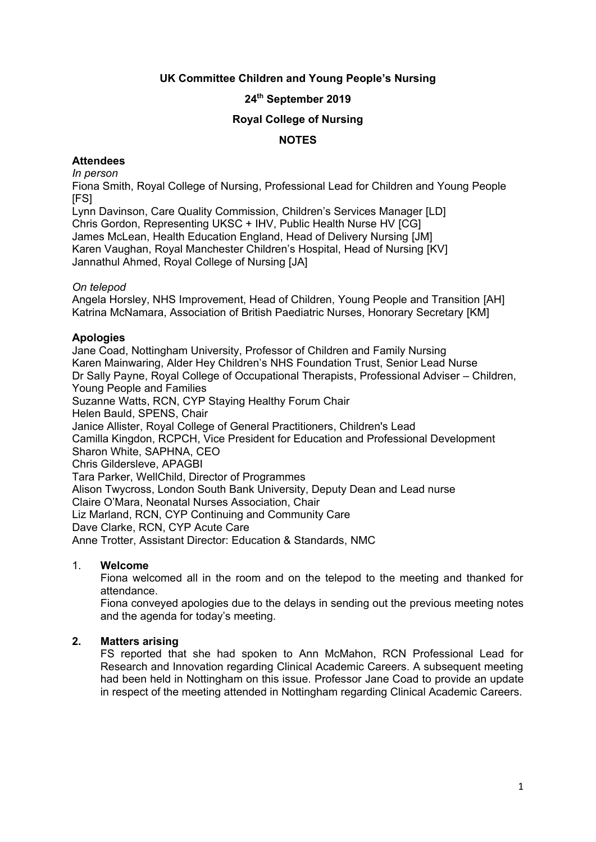## **UK Committee Children and Young People's Nursing**

# **24 th September 2019**

### **Royal College of Nursing**

## **NOTES**

### **Attendees**

*In person*

Fiona Smith, Royal College of Nursing, Professional Lead for Children and Young People [FS]

Lynn Davinson, Care Quality Commission, Children's Services Manager [LD] Chris Gordon, Representing UKSC + IHV, Public Health Nurse HV [CG] James McLean, Health Education England, Head of Delivery Nursing [JM] Karen Vaughan, Royal Manchester Children's Hospital, Head of Nursing [KV] Jannathul Ahmed, Royal College of Nursing [JA]

### *On telepod*

Angela Horsley, NHS Improvement, Head of Children, Young People and Transition [AH] Katrina McNamara, Association of British Paediatric Nurses, Honorary Secretary [KM]

### **Apologies**

Jane Coad, Nottingham University, Professor of Children and Family Nursing Karen Mainwaring, Alder Hey Children's NHS Foundation Trust, Senior Lead Nurse Dr Sally Payne, Royal College of Occupational Therapists, Professional Adviser – Children, Young People and Families Suzanne Watts, RCN, CYP Staying Healthy Forum Chair Helen Bauld, SPENS, Chair Janice Allister, Royal College of General Practitioners, Children's Lead Camilla Kingdon, RCPCH, Vice President for Education and Professional Development Sharon White, SAPHNA, CEO Chris Gildersleve, APAGBI Tara Parker, WellChild, Director of Programmes Alison Twycross, London South Bank University, Deputy Dean and Lead nurse Claire O'Mara, Neonatal Nurses Association, Chair Liz Marland, RCN, CYP Continuing and Community Care Dave Clarke, RCN, CYP Acute Care Anne Trotter, Assistant Director: Education & Standards, NMC

#### 1. **Welcome**

Fiona welcomed all in the room and on the telepod to the meeting and thanked for attendance.

Fiona conveyed apologies due to the delays in sending out the previous meeting notes and the agenda for today's meeting.

## **2. Matters arising**

FS reported that she had spoken to Ann McMahon, RCN Professional Lead for Research and Innovation regarding Clinical Academic Careers. A subsequent meeting had been held in Nottingham on this issue. Professor Jane Coad to provide an update in respect of the meeting attended in Nottingham regarding Clinical Academic Careers.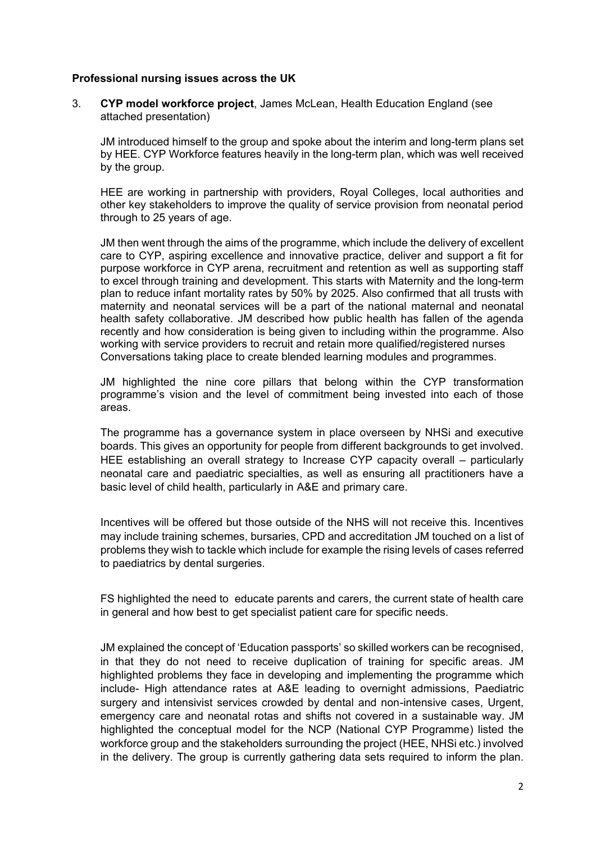### **Professional nursing issues across the UK**

3. **CYP model workforce project**, James McLean, Health Education England (see attached presentation)

JM introduced himself to the group and spoke about the interim and long-term plans set by HEE. CYP Workforce features heavily in the long-term plan, which was well received by the group.

HEE are working in partnership with providers, Royal Colleges, local authorities and other key stakeholders to improve the quality of service provision from neonatal period through to 25 years of age.

JM then went through the aims of the programme, which include the delivery of excellent care to CYP, aspiring excellence and innovative practice, deliver and support a fit for purpose workforce in CYP arena, recruitment and retention as well as supporting staff to excel through training and development. This starts with Maternity and the long-term plan to reduce infant mortality rates by 50% by 2025. Also confirmed that all trusts with maternity and neonatal services will be a part of the national maternal and neonatal health safety collaborative. JM described how public health has fallen of the agenda recently and how consideration is being given to including within the programme. Also working with service providers to recruit and retain more qualified/registered nurses Conversations taking place to create blended learning modules and programmes.

JM highlighted the nine core pillars that belong within the CYP transformation programme's vision and the level of commitment being invested into each of those areas.

The programme has a governance system in place overseen by NHSi and executive boards. This gives an opportunity for people from different backgrounds to get involved. HEE establishing an overall strategy to Increase CYP capacity overall – particularly neonatal care and paediatric specialties, as well as ensuring all practitioners have a basic level of child health, particularly in A&E and primary care.

Incentives will be offered but those outside of the NHS will not receive this. Incentives may include training schemes, bursaries, CPD and accreditation JM touched on a list of problems they wish to tackle which include for example the rising levels of cases referred to paediatrics by dental surgeries.

FS highlighted the need to educate parents and carers, the current state of health care in general and how best to get specialist patient care for specific needs.

JM explained the concept of 'Education passports' so skilled workers can be recognised, in that they do not need to receive duplication of training for specific areas. JM highlighted problems they face in developing and implementing the programme which include- High attendance rates at A&E leading to overnight admissions, Paediatric surgery and intensivist services crowded by dental and non-intensive cases, Urgent, emergency care and neonatal rotas and shifts not covered in a sustainable way. JM highlighted the conceptual model for the NCP (National CYP Programme) listed the workforce group and the stakeholders surrounding the project (HEE, NHSi etc.) involved in the delivery. The group is currently gathering data sets required to inform the plan.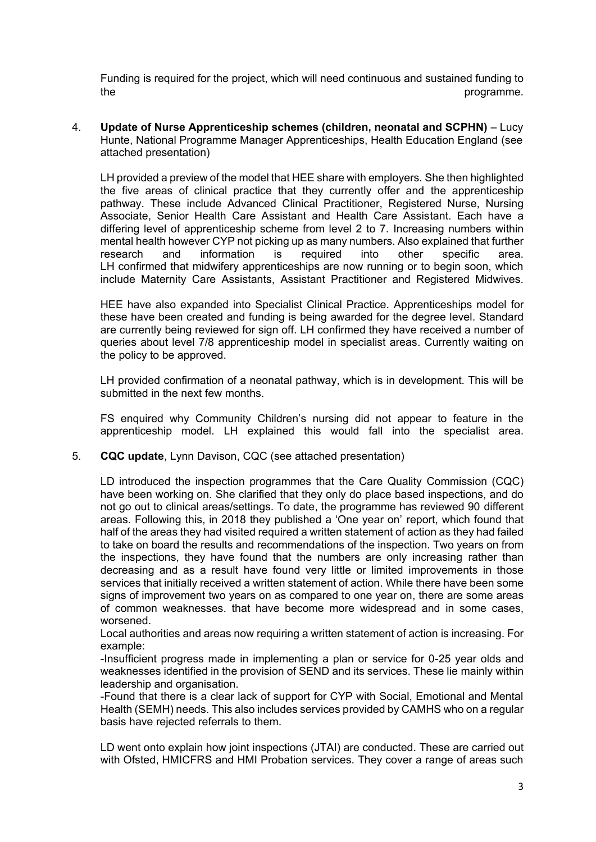Funding is required for the project, which will need continuous and sustained funding to the programme.

4. **Update of Nurse Apprenticeship schemes (children, neonatal and SCPHN)** – Lucy Hunte, National Programme Manager Apprenticeships, Health Education England (see attached presentation)

LH provided a preview of the model that HEE share with employers. She then highlighted the five areas of clinical practice that they currently offer and the apprenticeship pathway. These include Advanced Clinical Practitioner, Registered Nurse, Nursing Associate, Senior Health Care Assistant and Health Care Assistant. Each have a differing level of apprenticeship scheme from level 2 to 7. Increasing numbers within mental health however CYP not picking up as many numbers. Also explained that further research and information is required into other specific area. LH confirmed that midwifery apprenticeships are now running or to begin soon, which include Maternity Care Assistants, Assistant Practitioner and Registered Midwives.

HEE have also expanded into Specialist Clinical Practice. Apprenticeships model for these have been created and funding is being awarded for the degree level. Standard are currently being reviewed for sign off. LH confirmed they have received a number of queries about level 7/8 apprenticeship model in specialist areas. Currently waiting on the policy to be approved.

LH provided confirmation of a neonatal pathway, which is in development. This will be submitted in the next few months.

FS enquired why Community Children's nursing did not appear to feature in the apprenticeship model. LH explained this would fall into the specialist area.

5. **CQC update**, Lynn Davison, CQC (see attached presentation)

LD introduced the inspection programmes that the Care Quality Commission (CQC) have been working on. She clarified that they only do place based inspections, and do not go out to clinical areas/settings. To date, the programme has reviewed 90 different areas. Following this, in 2018 they published a 'One year on' report, which found that half of the areas they had visited required a written statement of action as they had failed to take on board the results and recommendations of the inspection. Two years on from the inspections, they have found that the numbers are only increasing rather than decreasing and as a result have found very little or limited improvements in those services that initially received a written statement of action. While there have been some signs of improvement two years on as compared to one year on, there are some areas of common weaknesses. that have become more widespread and in some cases, worsened.

Local authorities and areas now requiring a written statement of action is increasing. For example:

-Insufficient progress made in implementing a plan or service for 0-25 year olds and weaknesses identified in the provision of SEND and its services. These lie mainly within leadership and organisation.

-Found that there is a clear lack of support for CYP with Social, Emotional and Mental Health (SEMH) needs. This also includes services provided by CAMHS who on a regular basis have rejected referrals to them.

LD went onto explain how joint inspections (JTAI) are conducted. These are carried out with Ofsted, HMICFRS and HMI Probation services. They cover a range of areas such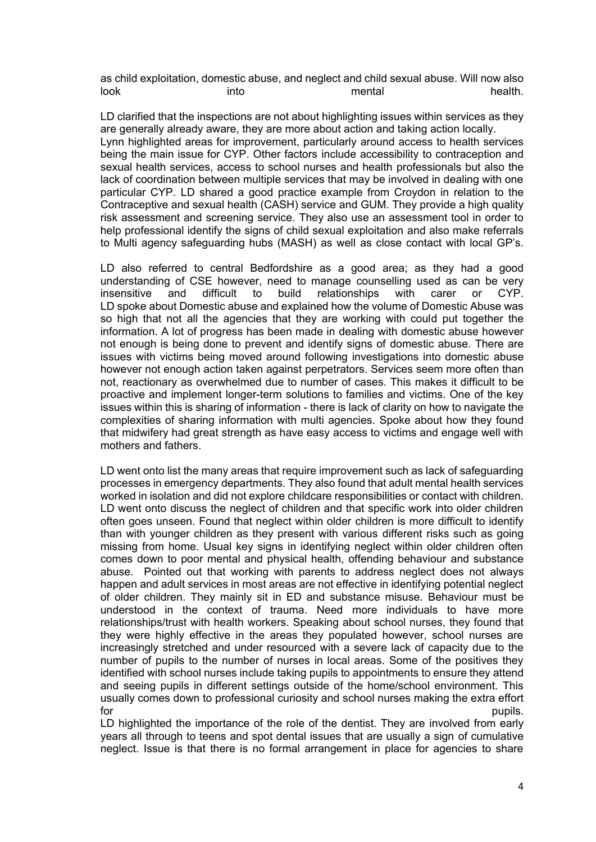as child exploitation, domestic abuse, and neglect and child sexual abuse. Will now also look into into mental health.

LD clarified that the inspections are not about highlighting issues within services as they are generally already aware, they are more about action and taking action locally. Lynn highlighted areas for improvement, particularly around access to health services being the main issue for CYP. Other factors include accessibility to contraception and sexual health services, access to school nurses and health professionals but also the lack of coordination between multiple services that may be involved in dealing with one particular CYP. LD shared a good practice example from Croydon in relation to the Contraceptive and sexual health (CASH) service and GUM. They provide a high quality risk assessment and screening service. They also use an assessment tool in order to help professional identify the signs of child sexual exploitation and also make referrals to Multi agency safeguarding hubs (MASH) as well as close contact with local GP's.

LD also referred to central Bedfordshire as a good area; as they had a good understanding of CSE however, need to manage counselling used as can be very insensitive and difficult to build relationships with carer or CYP. LD spoke about Domestic abuse and explained how the volume of Domestic Abuse was so high that not all the agencies that they are working with could put together the information. A lot of progress has been made in dealing with domestic abuse however not enough is being done to prevent and identify signs of domestic abuse. There are issues with victims being moved around following investigations into domestic abuse however not enough action taken against perpetrators. Services seem more often than not, reactionary as overwhelmed due to number of cases. This makes it difficult to be proactive and implement longer-term solutions to families and victims. One of the key issues within this is sharing of information - there is lack of clarity on how to navigate the complexities of sharing information with multi agencies. Spoke about how they found that midwifery had great strength as have easy access to victims and engage well with mothers and fathers.

LD went onto list the many areas that require improvement such as lack of safeguarding processes in emergency departments. They also found that adult mental health services worked in isolation and did not explore childcare responsibilities or contact with children. LD went onto discuss the neglect of children and that specific work into older children often goes unseen. Found that neglect within older children is more difficult to identify than with younger children as they present with various different risks such as going missing from home. Usual key signs in identifying neglect within older children often comes down to poor mental and physical health, offending behaviour and substance abuse. Pointed out that working with parents to address neglect does not always happen and adult services in most areas are not effective in identifying potential neglect of older children. They mainly sit in ED and substance misuse. Behaviour must be understood in the context of trauma. Need more individuals to have more relationships/trust with health workers. Speaking about school nurses, they found that they were highly effective in the areas they populated however, school nurses are increasingly stretched and under resourced with a severe lack of capacity due to the number of pupils to the number of nurses in local areas. Some of the positives they identified with school nurses include taking pupils to appointments to ensure they attend and seeing pupils in different settings outside of the home/school environment. This usually comes down to professional curiosity and school nurses making the extra effort for the contract of the contract of the contract of the contract of the contract of the pupils.

LD highlighted the importance of the role of the dentist. They are involved from early years all through to teens and spot dental issues that are usually a sign of cumulative neglect. Issue is that there is no formal arrangement in place for agencies to share